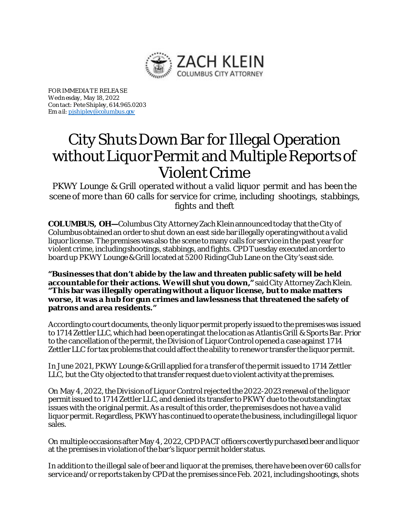

FOR IMMEDIA TE RELEA SE Wedn esday, May 18, 2022 Con tact: Pete Shipley, 614.965.0203 Em a il[: pjshipley@columbus.gov](mailto:pjshipley@columbus.gov)

## City Shuts Down Bar for Illegal Operation without Liquor Permit and Multiple Reports of Violent Crime

*PKWY Lounge & Grill operated without a valid liquor permit and has been the scene of more than 60 calls for service for crime, including shootings, stabbings, fights and theft*

**COLUMBUS, OH—**Columbus City Attorney Zach Klein announced today that the City of Columbus obtained an order to shut down an east side bar illegally operating without a valid liquor license. The premises was also the scene to many calls for service in the past year for violent crime, including shootings, stabbings, and fights. CPD Tuesday executed an order to board up PKWY Lounge & Grill located at 5200 Riding Club Lane on the City's east side.

**"Businesses that don't abide by the law and threaten public safety will be held accountable for their actions. We will shut you down,"**said City Attorney Zach Klein. **"This bar was illegally operating without a liquor license, but to make matters worse, it was a hub for gun crimes and lawlessness that threatened the safety of patrons and area residents."**

According to court documents, the only liquor permit properly issued to the premises was issued to 1714 Zettler LLC, which had been operating at the location as Atlantis Grill & Sports Bar. Prior to the cancellation of the permit, the Division of Liquor Control opened a case against 1714 Zettler LLC for tax problems that could affect the ability to renew or transfer the liquor permit.

In June 2021, PKWY Lounge & Grill applied for a transfer of the permit issued to 1714 Zettler LLC, but the City objected to that transfer request due to violent activity at the premises.

On May 4, 2022, the Division of Liquor Control rejected the 2022-2023 renewal of the liquor permit issued to 1714 Zettler LLC, and denied its transfer to PKWY due to the outstanding tax issues with the original permit. As a result of this order, the premises does not have a valid liquor permit. Regardless, PKWY has continued to operate the business, including illegal liquor sales.

On multiple occasions after May 4, 2022, CPD PACT officers covertly purchased beer and liquor at the premises in violation of the bar's liquor permit holder status.

In addition to the illegal sale of beer and liquor at the premises, there have been over 60 calls for service and/or reports taken by CPD at the premises since Feb. 2021, including shootings, shots